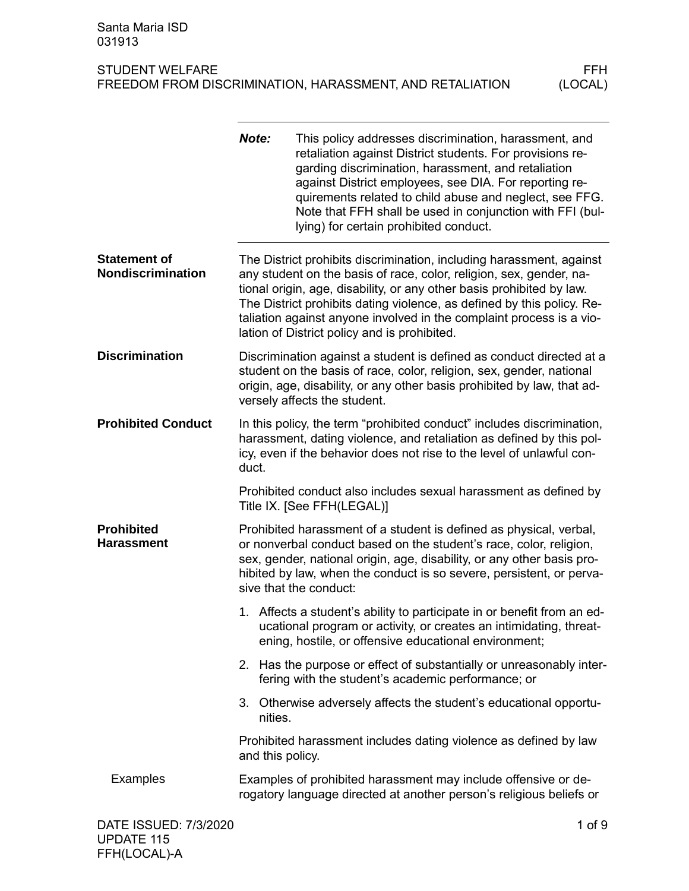|                                                 | Note: | lying) for certain prohibited conduct.       | This policy addresses discrimination, harassment, and<br>retaliation against District students. For provisions re-<br>garding discrimination, harassment, and retaliation<br>against District employees, see DIA. For reporting re-<br>quirements related to child abuse and neglect, see FFG.<br>Note that FFH shall be used in conjunction with FFI (bul-            |
|-------------------------------------------------|-------|----------------------------------------------|------------------------------------------------------------------------------------------------------------------------------------------------------------------------------------------------------------------------------------------------------------------------------------------------------------------------------------------------------------------------|
| <b>Statement of</b><br><b>Nondiscrimination</b> |       | lation of District policy and is prohibited. | The District prohibits discrimination, including harassment, against<br>any student on the basis of race, color, religion, sex, gender, na-<br>tional origin, age, disability, or any other basis prohibited by law.<br>The District prohibits dating violence, as defined by this policy. Re-<br>taliation against anyone involved in the complaint process is a vio- |
| <b>Discrimination</b>                           |       | versely affects the student.                 | Discrimination against a student is defined as conduct directed at a<br>student on the basis of race, color, religion, sex, gender, national<br>origin, age, disability, or any other basis prohibited by law, that ad-                                                                                                                                                |
| <b>Prohibited Conduct</b>                       | duct. |                                              | In this policy, the term "prohibited conduct" includes discrimination,<br>harassment, dating violence, and retaliation as defined by this pol-<br>icy, even if the behavior does not rise to the level of unlawful con-                                                                                                                                                |
|                                                 |       | Title IX. [See FFH(LEGAL)]                   | Prohibited conduct also includes sexual harassment as defined by                                                                                                                                                                                                                                                                                                       |
| <b>Prohibited</b><br><b>Harassment</b>          |       | sive that the conduct:                       | Prohibited harassment of a student is defined as physical, verbal,<br>or nonverbal conduct based on the student's race, color, religion,<br>sex, gender, national origin, age, disability, or any other basis pro-<br>hibited by law, when the conduct is so severe, persistent, or perva-                                                                             |
|                                                 |       |                                              | 1. Affects a student's ability to participate in or benefit from an ed-<br>ucational program or activity, or creates an intimidating, threat-<br>ening, hostile, or offensive educational environment;                                                                                                                                                                 |
|                                                 |       |                                              | 2. Has the purpose or effect of substantially or unreasonably inter-<br>fering with the student's academic performance; or                                                                                                                                                                                                                                             |
|                                                 |       | nities.                                      | 3. Otherwise adversely affects the student's educational opportu-                                                                                                                                                                                                                                                                                                      |
|                                                 |       | and this policy.                             | Prohibited harassment includes dating violence as defined by law                                                                                                                                                                                                                                                                                                       |
| Examples                                        |       |                                              | Examples of prohibited harassment may include offensive or de-<br>rogatory language directed at another person's religious beliefs or                                                                                                                                                                                                                                  |
| DATE ISSUED: 7/3/2020                           |       |                                              | $1$ of $9$                                                                                                                                                                                                                                                                                                                                                             |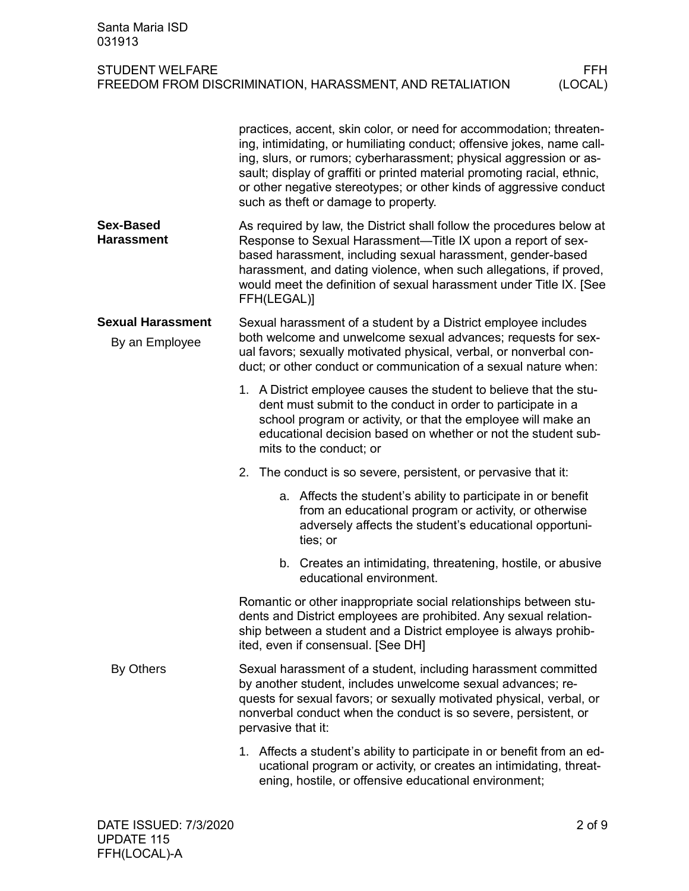|                                            | practices, accent, skin color, or need for accommodation; threaten-<br>ing, intimidating, or humiliating conduct; offensive jokes, name call-<br>ing, slurs, or rumors; cyberharassment; physical aggression or as-<br>sault; display of graffiti or printed material promoting racial, ethnic,<br>or other negative stereotypes; or other kinds of aggressive conduct<br>such as theft or damage to property. |
|--------------------------------------------|----------------------------------------------------------------------------------------------------------------------------------------------------------------------------------------------------------------------------------------------------------------------------------------------------------------------------------------------------------------------------------------------------------------|
| <b>Sex-Based</b><br><b>Harassment</b>      | As required by law, the District shall follow the procedures below at<br>Response to Sexual Harassment—Title IX upon a report of sex-<br>based harassment, including sexual harassment, gender-based<br>harassment, and dating violence, when such allegations, if proved,<br>would meet the definition of sexual harassment under Title IX. [See<br>FFH(LEGAL)]                                               |
| <b>Sexual Harassment</b><br>By an Employee | Sexual harassment of a student by a District employee includes<br>both welcome and unwelcome sexual advances; requests for sex-<br>ual favors; sexually motivated physical, verbal, or nonverbal con-<br>duct; or other conduct or communication of a sexual nature when:                                                                                                                                      |
|                                            | 1. A District employee causes the student to believe that the stu-<br>dent must submit to the conduct in order to participate in a<br>school program or activity, or that the employee will make an<br>educational decision based on whether or not the student sub-<br>mits to the conduct; or                                                                                                                |
|                                            | 2. The conduct is so severe, persistent, or pervasive that it:                                                                                                                                                                                                                                                                                                                                                 |
|                                            | a. Affects the student's ability to participate in or benefit<br>from an educational program or activity, or otherwise<br>adversely affects the student's educational opportuni-<br>ties; or                                                                                                                                                                                                                   |
|                                            | b. Creates an intimidating, threatening, hostile, or abusive<br>educational environment.                                                                                                                                                                                                                                                                                                                       |
|                                            | Romantic or other inappropriate social relationships between stu-<br>dents and District employees are prohibited. Any sexual relation-<br>ship between a student and a District employee is always prohib-<br>ited, even if consensual. [See DH]                                                                                                                                                               |
| By Others                                  | Sexual harassment of a student, including harassment committed<br>by another student, includes unwelcome sexual advances; re-<br>quests for sexual favors; or sexually motivated physical, verbal, or<br>nonverbal conduct when the conduct is so severe, persistent, or<br>pervasive that it:                                                                                                                 |
|                                            | 1. Affects a student's ability to participate in or benefit from an ed-<br>ucational program or activity, or creates an intimidating, threat-<br>ening, hostile, or offensive educational environment;                                                                                                                                                                                                         |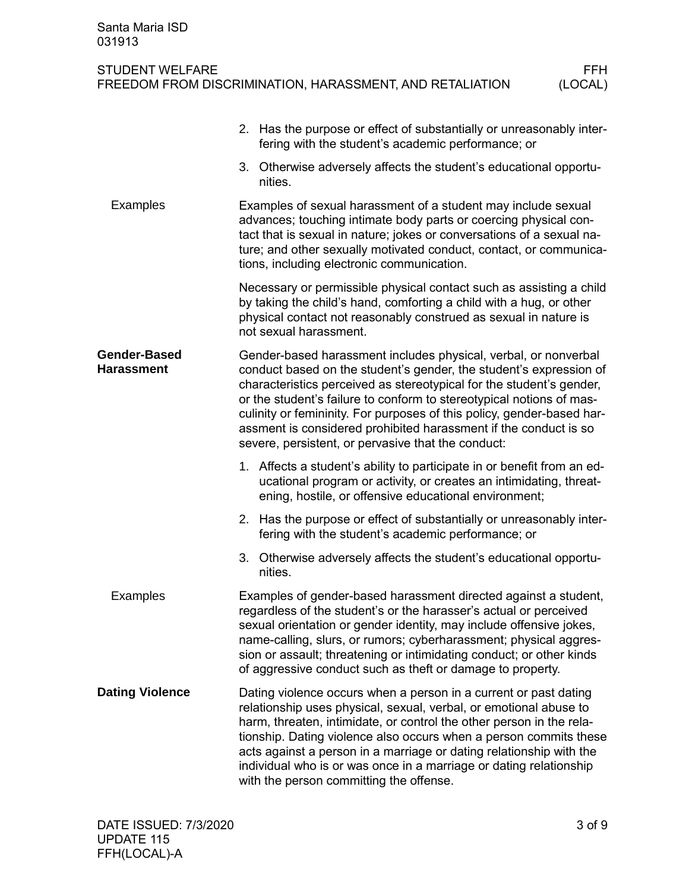| STUDENT WELFARE                                          | FFH.    |
|----------------------------------------------------------|---------|
| FREEDOM FROM DISCRIMINATION, HARASSMENT, AND RETALIATION | (LOCAL) |

|                                          | 2. Has the purpose or effect of substantially or unreasonably inter-<br>fering with the student's academic performance; or                                                                                                                                                                                                                                                                                                                                                                |
|------------------------------------------|-------------------------------------------------------------------------------------------------------------------------------------------------------------------------------------------------------------------------------------------------------------------------------------------------------------------------------------------------------------------------------------------------------------------------------------------------------------------------------------------|
|                                          | 3. Otherwise adversely affects the student's educational opportu-<br>nities.                                                                                                                                                                                                                                                                                                                                                                                                              |
| Examples                                 | Examples of sexual harassment of a student may include sexual<br>advances; touching intimate body parts or coercing physical con-<br>tact that is sexual in nature; jokes or conversations of a sexual na-<br>ture; and other sexually motivated conduct, contact, or communica-<br>tions, including electronic communication.                                                                                                                                                            |
|                                          | Necessary or permissible physical contact such as assisting a child<br>by taking the child's hand, comforting a child with a hug, or other<br>physical contact not reasonably construed as sexual in nature is<br>not sexual harassment.                                                                                                                                                                                                                                                  |
| <b>Gender-Based</b><br><b>Harassment</b> | Gender-based harassment includes physical, verbal, or nonverbal<br>conduct based on the student's gender, the student's expression of<br>characteristics perceived as stereotypical for the student's gender,<br>or the student's failure to conform to stereotypical notions of mas-<br>culinity or femininity. For purposes of this policy, gender-based har-<br>assment is considered prohibited harassment if the conduct is so<br>severe, persistent, or pervasive that the conduct: |
|                                          | 1. Affects a student's ability to participate in or benefit from an ed-<br>ucational program or activity, or creates an intimidating, threat-<br>ening, hostile, or offensive educational environment;                                                                                                                                                                                                                                                                                    |
|                                          | 2. Has the purpose or effect of substantially or unreasonably inter-<br>fering with the student's academic performance; or                                                                                                                                                                                                                                                                                                                                                                |
|                                          | 3. Otherwise adversely affects the student's educational opportu-<br>nities.                                                                                                                                                                                                                                                                                                                                                                                                              |
| Examples                                 | Examples of gender-based harassment directed against a student,<br>regardless of the student's or the harasser's actual or perceived<br>sexual orientation or gender identity, may include offensive jokes,<br>name-calling, slurs, or rumors; cyberharassment; physical aggres-<br>sion or assault; threatening or intimidating conduct; or other kinds<br>of aggressive conduct such as theft or damage to property.                                                                    |
| <b>Dating Violence</b>                   | Dating violence occurs when a person in a current or past dating<br>relationship uses physical, sexual, verbal, or emotional abuse to<br>harm, threaten, intimidate, or control the other person in the rela-<br>tionship. Dating violence also occurs when a person commits these<br>acts against a person in a marriage or dating relationship with the<br>individual who is or was once in a marriage or dating relationship<br>with the person committing the offense.                |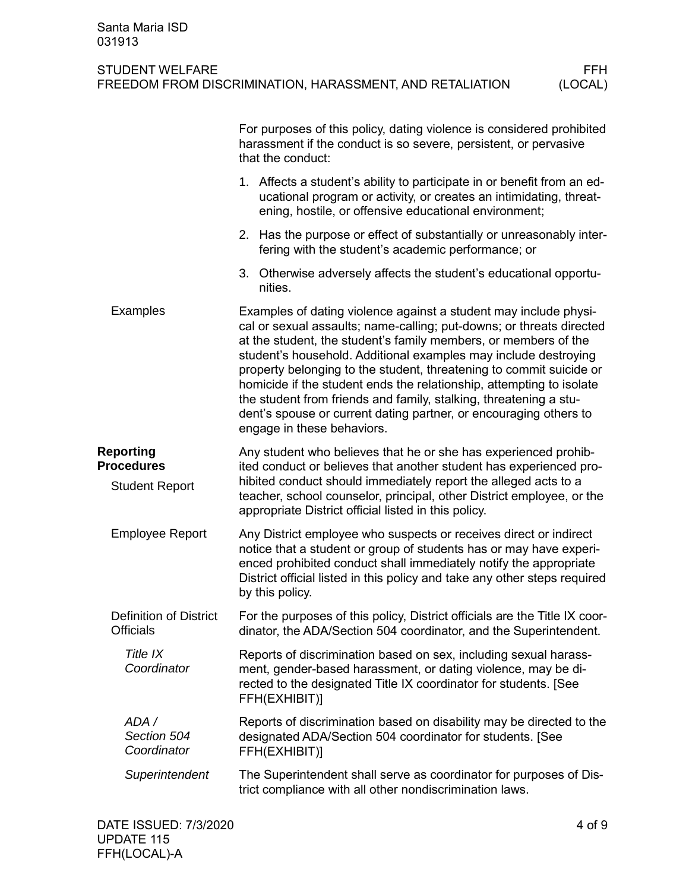## STUDENT WELFARE<br>FREEDOM FROM DISCRIMINATION, HARASSMENT, AND RETALIATION (LOCAL) FREEDOM FROM DISCRIMINATION, HARASSMENT, AND RETALIATION

|                                                   | For purposes of this policy, dating violence is considered prohibited<br>harassment if the conduct is so severe, persistent, or pervasive<br>that the conduct:                                                                                                                                                                                                                                                                                                                                                                                                                                        |
|---------------------------------------------------|-------------------------------------------------------------------------------------------------------------------------------------------------------------------------------------------------------------------------------------------------------------------------------------------------------------------------------------------------------------------------------------------------------------------------------------------------------------------------------------------------------------------------------------------------------------------------------------------------------|
|                                                   | 1. Affects a student's ability to participate in or benefit from an ed-<br>ucational program or activity, or creates an intimidating, threat-<br>ening, hostile, or offensive educational environment;                                                                                                                                                                                                                                                                                                                                                                                                |
|                                                   | 2. Has the purpose or effect of substantially or unreasonably inter-<br>fering with the student's academic performance; or                                                                                                                                                                                                                                                                                                                                                                                                                                                                            |
|                                                   | 3. Otherwise adversely affects the student's educational opportu-<br>nities.                                                                                                                                                                                                                                                                                                                                                                                                                                                                                                                          |
| <b>Examples</b>                                   | Examples of dating violence against a student may include physi-<br>cal or sexual assaults; name-calling; put-downs; or threats directed<br>at the student, the student's family members, or members of the<br>student's household. Additional examples may include destroying<br>property belonging to the student, threatening to commit suicide or<br>homicide if the student ends the relationship, attempting to isolate<br>the student from friends and family, stalking, threatening a stu-<br>dent's spouse or current dating partner, or encouraging others to<br>engage in these behaviors. |
| Reporting<br><b>Procedures</b>                    | Any student who believes that he or she has experienced prohib-<br>ited conduct or believes that another student has experienced pro-                                                                                                                                                                                                                                                                                                                                                                                                                                                                 |
| <b>Student Report</b>                             | hibited conduct should immediately report the alleged acts to a<br>teacher, school counselor, principal, other District employee, or the<br>appropriate District official listed in this policy.                                                                                                                                                                                                                                                                                                                                                                                                      |
| <b>Employee Report</b>                            | Any District employee who suspects or receives direct or indirect<br>notice that a student or group of students has or may have experi-<br>enced prohibited conduct shall immediately notify the appropriate<br>District official listed in this policy and take any other steps required<br>by this policy.                                                                                                                                                                                                                                                                                          |
| <b>Definition of District</b><br><b>Officials</b> | For the purposes of this policy, District officials are the Title IX coor-<br>dinator, the ADA/Section 504 coordinator, and the Superintendent.                                                                                                                                                                                                                                                                                                                                                                                                                                                       |
| Title IX<br>Coordinator                           | Reports of discrimination based on sex, including sexual harass-<br>ment, gender-based harassment, or dating violence, may be di-<br>rected to the designated Title IX coordinator for students. [See<br>FFH(EXHIBIT)]                                                                                                                                                                                                                                                                                                                                                                                |
| ADA /<br>Section 504<br>Coordinator               | Reports of discrimination based on disability may be directed to the<br>designated ADA/Section 504 coordinator for students. [See<br>FFH(EXHIBIT)]                                                                                                                                                                                                                                                                                                                                                                                                                                                    |
| Superintendent                                    | The Superintendent shall serve as coordinator for purposes of Dis-<br>trict compliance with all other nondiscrimination laws.                                                                                                                                                                                                                                                                                                                                                                                                                                                                         |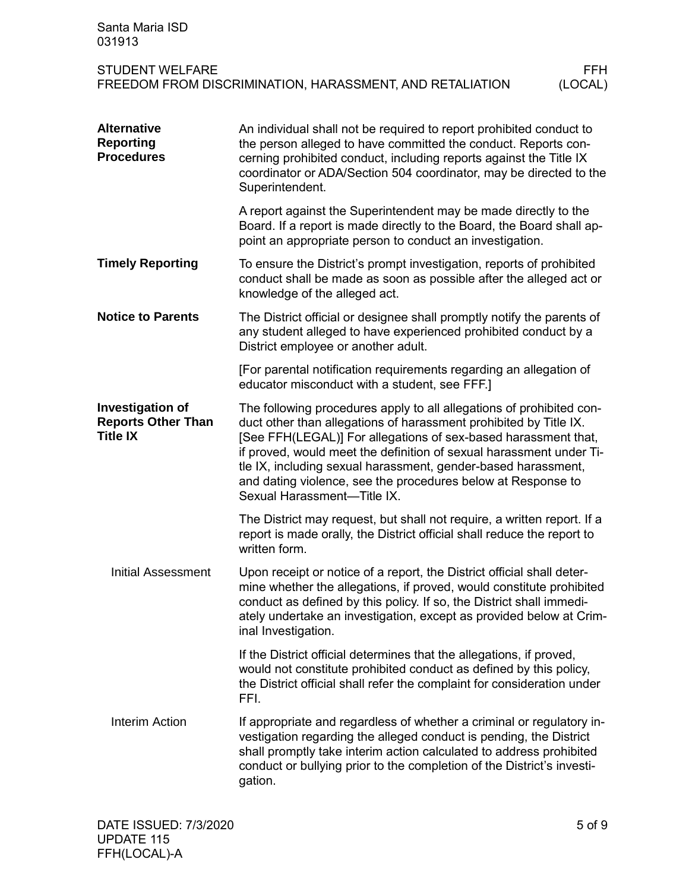| Santa Maria ISD<br>031913                                               |                                                                                                                                                                                                                                                                                                                                                                                                                                                    |  |
|-------------------------------------------------------------------------|----------------------------------------------------------------------------------------------------------------------------------------------------------------------------------------------------------------------------------------------------------------------------------------------------------------------------------------------------------------------------------------------------------------------------------------------------|--|
| <b>STUDENT WELFARE</b>                                                  | FFH.<br>(LOCAL)<br>FREEDOM FROM DISCRIMINATION, HARASSMENT, AND RETALIATION                                                                                                                                                                                                                                                                                                                                                                        |  |
| <b>Alternative</b><br><b>Reporting</b><br><b>Procedures</b>             | An individual shall not be required to report prohibited conduct to<br>the person alleged to have committed the conduct. Reports con-<br>cerning prohibited conduct, including reports against the Title IX<br>coordinator or ADA/Section 504 coordinator, may be directed to the<br>Superintendent.                                                                                                                                               |  |
|                                                                         | A report against the Superintendent may be made directly to the<br>Board. If a report is made directly to the Board, the Board shall ap-<br>point an appropriate person to conduct an investigation.                                                                                                                                                                                                                                               |  |
| <b>Timely Reporting</b>                                                 | To ensure the District's prompt investigation, reports of prohibited<br>conduct shall be made as soon as possible after the alleged act or<br>knowledge of the alleged act.                                                                                                                                                                                                                                                                        |  |
| <b>Notice to Parents</b>                                                | The District official or designee shall promptly notify the parents of<br>any student alleged to have experienced prohibited conduct by a<br>District employee or another adult.                                                                                                                                                                                                                                                                   |  |
|                                                                         | [For parental notification requirements regarding an allegation of<br>educator misconduct with a student, see FFF.]                                                                                                                                                                                                                                                                                                                                |  |
| <b>Investigation of</b><br><b>Reports Other Than</b><br><b>Title IX</b> | The following procedures apply to all allegations of prohibited con-<br>duct other than allegations of harassment prohibited by Title IX.<br>[See FFH(LEGAL)] For allegations of sex-based harassment that,<br>if proved, would meet the definition of sexual harassment under Ti-<br>tle IX, including sexual harassment, gender-based harassment,<br>and dating violence, see the procedures below at Response to<br>Sexual Harassment-Title IX. |  |
|                                                                         | The District may request, but shall not require, a written report. If a<br>report is made orally, the District official shall reduce the report to<br>written form.                                                                                                                                                                                                                                                                                |  |
| <b>Initial Assessment</b>                                               | Upon receipt or notice of a report, the District official shall deter-<br>mine whether the allegations, if proved, would constitute prohibited<br>conduct as defined by this policy. If so, the District shall immedi-<br>ately undertake an investigation, except as provided below at Crim-<br>inal Investigation.                                                                                                                               |  |
|                                                                         | If the District official determines that the allegations, if proved,<br>would not constitute prohibited conduct as defined by this policy,<br>the District official shall refer the complaint for consideration under<br>FFI.                                                                                                                                                                                                                      |  |
| Interim Action                                                          | If appropriate and regardless of whether a criminal or regulatory in-<br>vestigation regarding the alleged conduct is pending, the District<br>shall promptly take interim action calculated to address prohibited<br>conduct or bullying prior to the completion of the District's investi-<br>gation.                                                                                                                                            |  |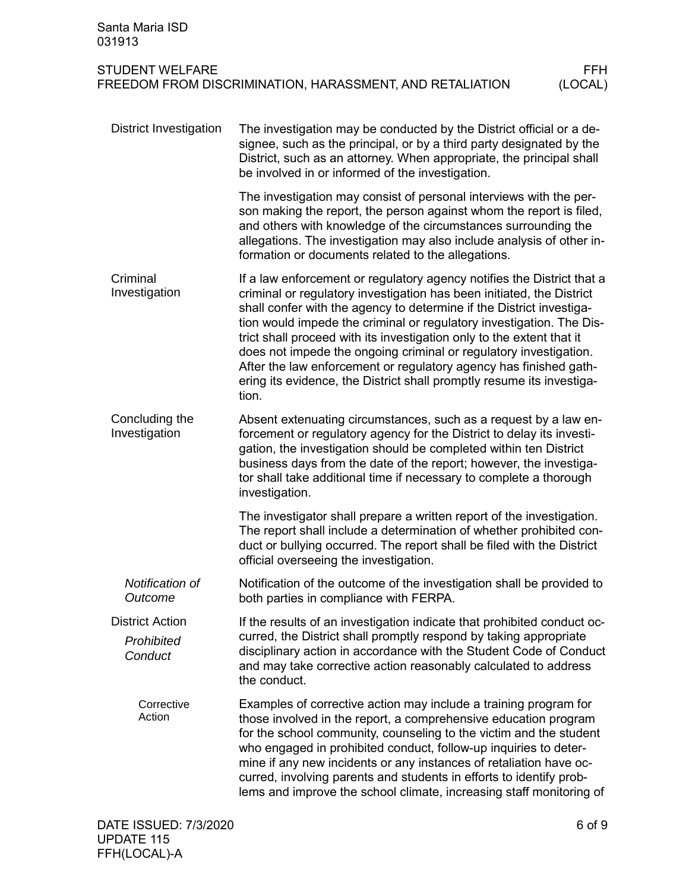| Santa Maria ISD<br>031913                       |                                                                                                                                                                                                                                                                                                                                                                                                                                                                                                                                                                                                      |     |
|-------------------------------------------------|------------------------------------------------------------------------------------------------------------------------------------------------------------------------------------------------------------------------------------------------------------------------------------------------------------------------------------------------------------------------------------------------------------------------------------------------------------------------------------------------------------------------------------------------------------------------------------------------------|-----|
| <b>STUDENT WELFARE</b>                          | FREEDOM FROM DISCRIMINATION, HARASSMENT, AND RETALIATION<br>(LOCAL)                                                                                                                                                                                                                                                                                                                                                                                                                                                                                                                                  | FFH |
| <b>District Investigation</b>                   | The investigation may be conducted by the District official or a de-<br>signee, such as the principal, or by a third party designated by the<br>District, such as an attorney. When appropriate, the principal shall<br>be involved in or informed of the investigation.                                                                                                                                                                                                                                                                                                                             |     |
|                                                 | The investigation may consist of personal interviews with the per-<br>son making the report, the person against whom the report is filed,<br>and others with knowledge of the circumstances surrounding the<br>allegations. The investigation may also include analysis of other in-<br>formation or documents related to the allegations.                                                                                                                                                                                                                                                           |     |
| Criminal<br>Investigation                       | If a law enforcement or regulatory agency notifies the District that a<br>criminal or regulatory investigation has been initiated, the District<br>shall confer with the agency to determine if the District investiga-<br>tion would impede the criminal or regulatory investigation. The Dis-<br>trict shall proceed with its investigation only to the extent that it<br>does not impede the ongoing criminal or regulatory investigation.<br>After the law enforcement or regulatory agency has finished gath-<br>ering its evidence, the District shall promptly resume its investiga-<br>tion. |     |
| Concluding the<br>Investigation                 | Absent extenuating circumstances, such as a request by a law en-<br>forcement or regulatory agency for the District to delay its investi-<br>gation, the investigation should be completed within ten District<br>business days from the date of the report; however, the investiga-<br>tor shall take additional time if necessary to complete a thorough<br>investigation.                                                                                                                                                                                                                         |     |
|                                                 | The investigator shall prepare a written report of the investigation.<br>The report shall include a determination of whether prohibited con-<br>duct or bullying occurred. The report shall be filed with the District<br>official overseeing the investigation.                                                                                                                                                                                                                                                                                                                                     |     |
| Notification of<br>Outcome                      | Notification of the outcome of the investigation shall be provided to<br>both parties in compliance with FERPA.                                                                                                                                                                                                                                                                                                                                                                                                                                                                                      |     |
| <b>District Action</b><br>Prohibited<br>Conduct | If the results of an investigation indicate that prohibited conduct oc-<br>curred, the District shall promptly respond by taking appropriate<br>disciplinary action in accordance with the Student Code of Conduct<br>and may take corrective action reasonably calculated to address<br>the conduct.                                                                                                                                                                                                                                                                                                |     |
| Corrective<br>Action                            | Examples of corrective action may include a training program for<br>those involved in the report, a comprehensive education program<br>for the school community, counseling to the victim and the student<br>who engaged in prohibited conduct, follow-up inquiries to deter-<br>mine if any new incidents or any instances of retaliation have oc-<br>curred, involving parents and students in efforts to identify prob-<br>lems and improve the school climate, increasing staff monitoring of                                                                                                    |     |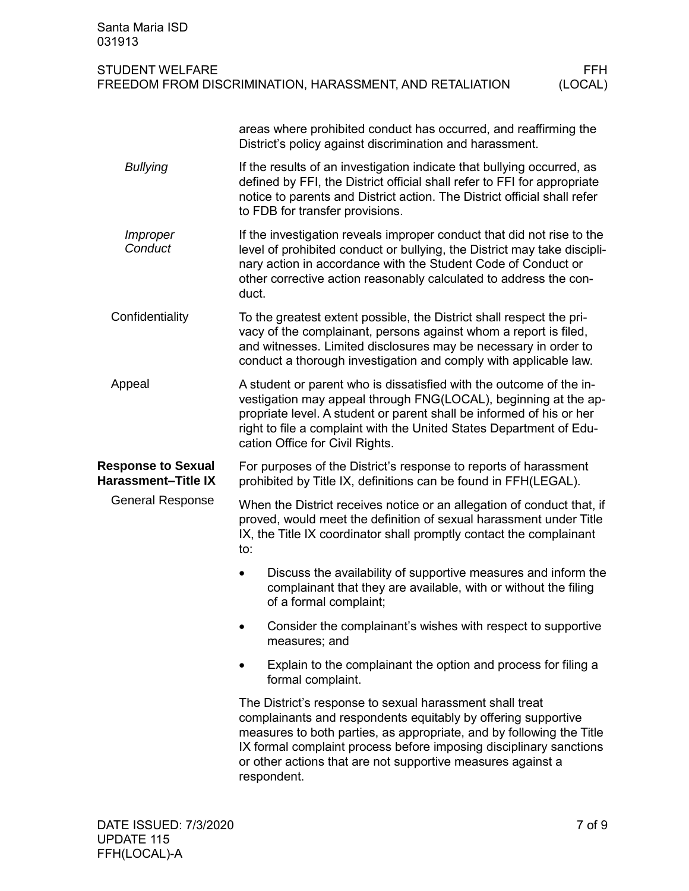| Santa Maria ISD<br>031913                               |                                                                                                                                                                                                                                                                                                                                                       |                       |
|---------------------------------------------------------|-------------------------------------------------------------------------------------------------------------------------------------------------------------------------------------------------------------------------------------------------------------------------------------------------------------------------------------------------------|-----------------------|
| <b>STUDENT WELFARE</b>                                  | FREEDOM FROM DISCRIMINATION, HARASSMENT, AND RETALIATION                                                                                                                                                                                                                                                                                              | <b>FFH</b><br>(LOCAL) |
|                                                         | areas where prohibited conduct has occurred, and reaffirming the<br>District's policy against discrimination and harassment.                                                                                                                                                                                                                          |                       |
| <b>Bullying</b>                                         | If the results of an investigation indicate that bullying occurred, as<br>defined by FFI, the District official shall refer to FFI for appropriate<br>notice to parents and District action. The District official shall refer<br>to FDB for transfer provisions.                                                                                     |                       |
| Improper<br>Conduct                                     | If the investigation reveals improper conduct that did not rise to the<br>level of prohibited conduct or bullying, the District may take discipli-<br>nary action in accordance with the Student Code of Conduct or<br>other corrective action reasonably calculated to address the con-<br>duct.                                                     |                       |
| Confidentiality                                         | To the greatest extent possible, the District shall respect the pri-<br>vacy of the complainant, persons against whom a report is filed,<br>and witnesses. Limited disclosures may be necessary in order to<br>conduct a thorough investigation and comply with applicable law.                                                                       |                       |
| Appeal                                                  | A student or parent who is dissatisfied with the outcome of the in-<br>vestigation may appeal through FNG(LOCAL), beginning at the ap-<br>propriate level. A student or parent shall be informed of his or her<br>right to file a complaint with the United States Department of Edu-<br>cation Office for Civil Rights.                              |                       |
| <b>Response to Sexual</b><br><b>Harassment-Title IX</b> | For purposes of the District's response to reports of harassment<br>prohibited by Title IX, definitions can be found in FFH(LEGAL).                                                                                                                                                                                                                   |                       |
| <b>General Response</b>                                 | When the District receives notice or an allegation of conduct that, if<br>proved, would meet the definition of sexual harassment under Title<br>IX, the Title IX coordinator shall promptly contact the complainant<br>to:                                                                                                                            |                       |
|                                                         | Discuss the availability of supportive measures and inform the<br>complainant that they are available, with or without the filing<br>of a formal complaint;                                                                                                                                                                                           |                       |
|                                                         | Consider the complainant's wishes with respect to supportive<br>٠<br>measures; and                                                                                                                                                                                                                                                                    |                       |
|                                                         | Explain to the complainant the option and process for filing a<br>formal complaint.                                                                                                                                                                                                                                                                   |                       |
|                                                         | The District's response to sexual harassment shall treat<br>complainants and respondents equitably by offering supportive<br>measures to both parties, as appropriate, and by following the Title<br>IX formal complaint process before imposing disciplinary sanctions<br>or other actions that are not supportive measures against a<br>respondent. |                       |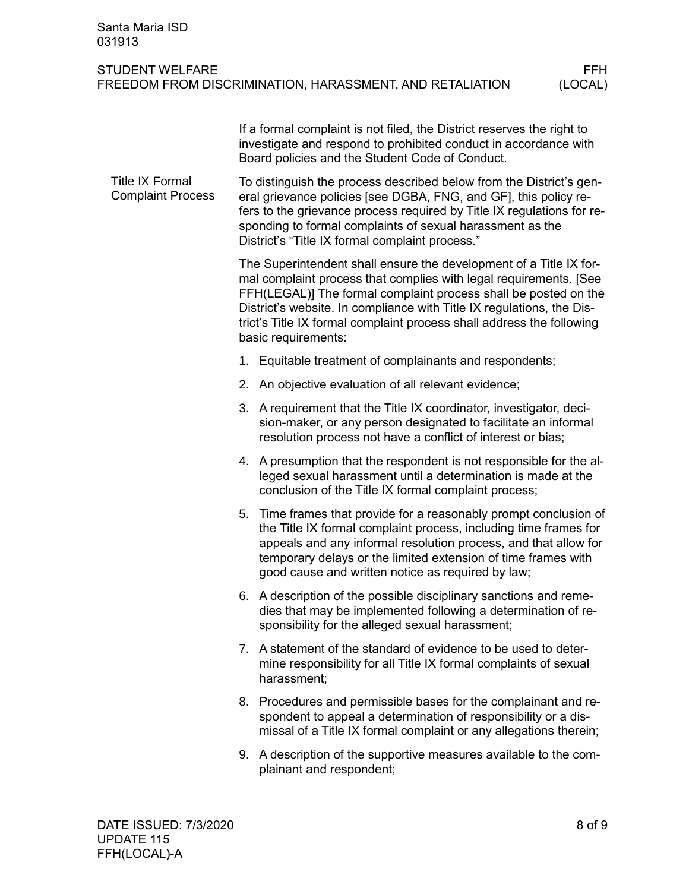| Santa Maria ISD<br>031913                          |                                                                                                                                                                                                                                                                                                                                                              |                       |
|----------------------------------------------------|--------------------------------------------------------------------------------------------------------------------------------------------------------------------------------------------------------------------------------------------------------------------------------------------------------------------------------------------------------------|-----------------------|
| <b>STUDENT WELFARE</b>                             | FREEDOM FROM DISCRIMINATION, HARASSMENT, AND RETALIATION                                                                                                                                                                                                                                                                                                     | <b>FFH</b><br>(LOCAL) |
|                                                    | If a formal complaint is not filed, the District reserves the right to<br>investigate and respond to prohibited conduct in accordance with<br>Board policies and the Student Code of Conduct.                                                                                                                                                                |                       |
| <b>Title IX Formal</b><br><b>Complaint Process</b> | To distinguish the process described below from the District's gen-<br>eral grievance policies [see DGBA, FNG, and GF], this policy re-<br>fers to the grievance process required by Title IX regulations for re-<br>sponding to formal complaints of sexual harassment as the<br>District's "Title IX formal complaint process."                            |                       |
|                                                    | The Superintendent shall ensure the development of a Title IX for-<br>mal complaint process that complies with legal requirements. [See<br>FFH(LEGAL)] The formal complaint process shall be posted on the<br>District's website. In compliance with Title IX regulations, the Dis-<br>trict's Title IX formal complaint process shall address the following |                       |

- 1. Equitable treatment of complainants and respondents;
- 2. An objective evaluation of all relevant evidence;

basic requirements:

- 3. A requirement that the Title IX coordinator, investigator, decision-maker, or any person designated to facilitate an informal resolution process not have a conflict of interest or bias;
- 4. A presumption that the respondent is not responsible for the alleged sexual harassment until a determination is made at the conclusion of the Title IX formal complaint process;
- 5. Time frames that provide for a reasonably prompt conclusion of the Title IX formal complaint process, including time frames for appeals and any informal resolution process, and that allow for temporary delays or the limited extension of time frames with good cause and written notice as required by law;
- 6. A description of the possible disciplinary sanctions and remedies that may be implemented following a determination of responsibility for the alleged sexual harassment;
- 7. A statement of the standard of evidence to be used to determine responsibility for all Title IX formal complaints of sexual harassment;
- 8. Procedures and permissible bases for the complainant and respondent to appeal a determination of responsibility or a dismissal of a Title IX formal complaint or any allegations therein;
- 9. A description of the supportive measures available to the complainant and respondent;